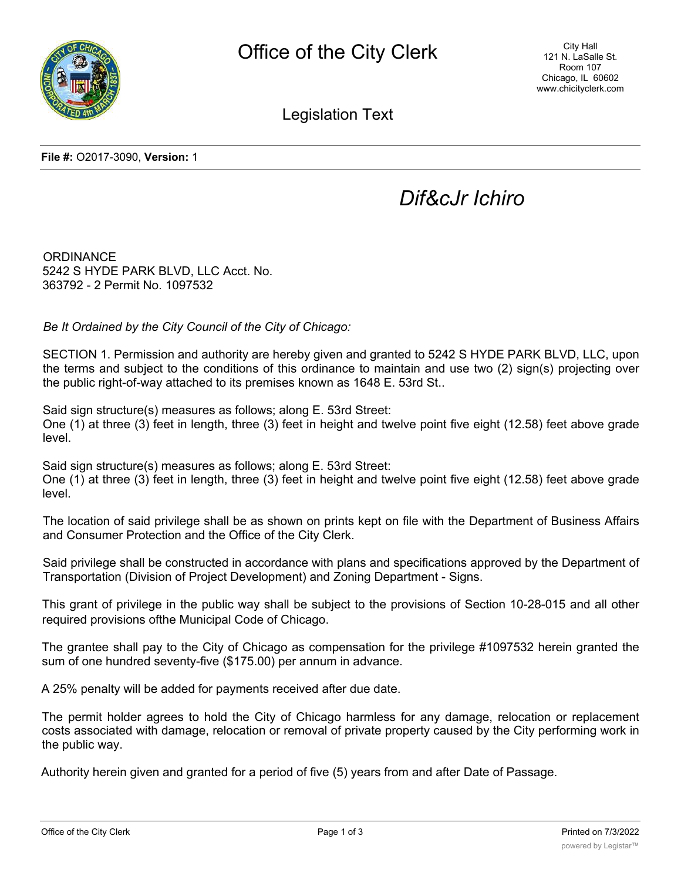

Legislation Text

## *Dif&cJr Ichiro*

**ORDINANCE** 5242 S HYDE PARK BLVD, LLC Acct. No. 363792 - 2 Permit No. 1097532

*Be It Ordained by the City Council of the City of Chicago:*

SECTION 1. Permission and authority are hereby given and granted to 5242 S HYDE PARK BLVD, LLC, upon the terms and subject to the conditions of this ordinance to maintain and use two (2) sign(s) projecting over the public right-of-way attached to its premises known as 1648 E. 53rd St..

Said sign structure(s) measures as follows; along E. 53rd Street: One (1) at three (3) feet in length, three (3) feet in height and twelve point five eight (12.58) feet above grade level.

Said sign structure(s) measures as follows; along E. 53rd Street: One (1) at three (3) feet in length, three (3) feet in height and twelve point five eight (12.58) feet above grade level.

The location of said privilege shall be as shown on prints kept on file with the Department of Business Affairs and Consumer Protection and the Office of the City Clerk.

Said privilege shall be constructed in accordance with plans and specifications approved by the Department of Transportation (Division of Project Development) and Zoning Department - Signs.

This grant of privilege in the public way shall be subject to the provisions of Section 10-28-015 and all other required provisions ofthe Municipal Code of Chicago.

The grantee shall pay to the City of Chicago as compensation for the privilege #1097532 herein granted the sum of one hundred seventy-five (\$175.00) per annum in advance.

A 25% penalty will be added for payments received after due date.

The permit holder agrees to hold the City of Chicago harmless for any damage, relocation or replacement costs associated with damage, relocation or removal of private property caused by the City performing work in the public way.

Authority herein given and granted for a period of five (5) years from and after Date of Passage.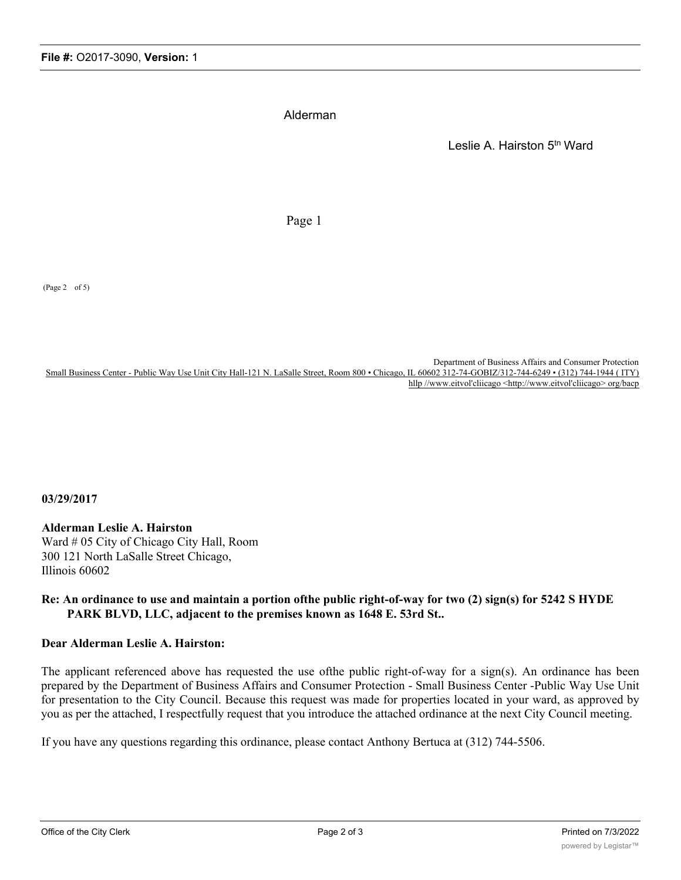Alderman

Leslie A. Hairston 5th Ward

Page 1

(Page 2 of 5)

Department of Business Affairs and Consumer Protection Small Business Center - Public Way Use Unit City Hall-121 N. LaSalle Street, Room 800 • Chicago, IL 60602 312-74-GOBIZ/312-744-6249 • (312) 744-1944 (ITY) hllp //www.eitvol'cliicago <http://www.eitvol'cliicago> org/bacp

**03/29/2017**

**Alderman Leslie A. Hairston** Ward # 05 City of Chicago City Hall, Room 300 121 North LaSalle Street Chicago, Illinois 60602

## **Re: An ordinance to use and maintain a portion ofthe public right-of-way for two (2) sign(s) for 5242 S HYDE PARK BLVD, LLC, adjacent to the premises known as 1648 E. 53rd St..**

## **Dear Alderman Leslie A. Hairston:**

The applicant referenced above has requested the use ofthe public right-of-way for a sign(s). An ordinance has been prepared by the Department of Business Affairs and Consumer Protection - Small Business Center -Public Way Use Unit for presentation to the City Council. Because this request was made for properties located in your ward, as approved by you as per the attached, I respectfully request that you introduce the attached ordinance at the next City Council meeting.

If you have any questions regarding this ordinance, please contact Anthony Bertuca at (312) 744-5506.